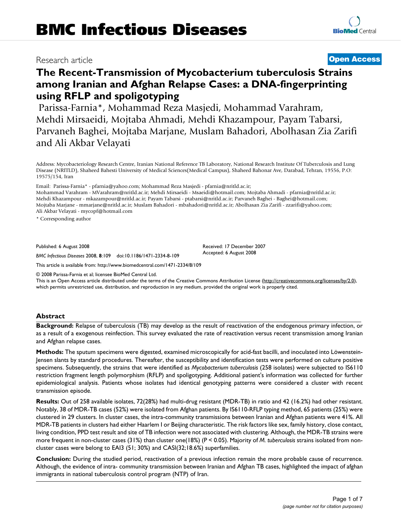## Research article **[Open Access](http://www.biomedcentral.com/info/about/charter/)**

# **The Recent-Transmission of Mycobacterium tuberculosis Strains among Iranian and Afghan Relapse Cases: a DNA-fingerprinting using RFLP and spoligotyping**

Parissa-Farnia\*, Mohammad Reza Masjedi, Mohammad Varahram, Mehdi Mirsaeidi, Mojtaba Ahmadi, Mehdi Khazampour, Payam Tabarsi, Parvaneh Baghei, Mojtaba Marjane, Muslam Bahadori, Abolhasan Zia Zarifi and Ali Akbar Velayati

Address: Mycobacteriology Research Centre, Iranian National Reference TB Laboratory, National Research Institute Of Tuberculosis and Lung Disease (NRITLD), Shaheed Bahesti University of Medical Sciences(Medical Campus), Shaheed Bahonar Ave, Darabad, Tehran, 19556, P.O: 19575/154, Iran

Email: Parissa-Farnia\* - pfarnia@yahoo.com; Mohammad Reza Masjedi - pfarnia@nritld.ac.ir;

Mohammad Varahram - MVarahram@nritld.ac.ir; Mehdi Mirsaeidi - Msaeidi@hotmail.com; Mojtaba Ahmadi - pfarnia@nritld.ac.ir; Mehdi Khazampour - mkazampour@nritld.ac.ir; Payam Tabarsi - ptabarsi@nritld.ac.ir; Parvaneh Baghei - Baghei@hotmail.com; Mojtaba Marjane - mmarjane@nritld.ac.ir; Muslam Bahadori - mbahadori@nritld.ac.ir; Abolhasan Zia Zarifi - zzarifi@yahoo.com; Ali Akbar Velayati - mycopf@hotmail.com

\* Corresponding author

Published: 6 August 2008

Received: 17 December 2007 Accepted: 6 August 2008

*BMC Infectious Diseases* 2008, **8**:109 doi:10.1186/1471-2334-8-109

[This article is available from: http://www.biomedcentral.com/1471-2334/8/109](http://www.biomedcentral.com/1471-2334/8/109)

© 2008 Parissa-Farnia et al; licensee BioMed Central Ltd.

This is an Open Access article distributed under the terms of the Creative Commons Attribution License [\(http://creativecommons.org/licenses/by/2.0\)](http://creativecommons.org/licenses/by/2.0), which permits unrestricted use, distribution, and reproduction in any medium, provided the original work is properly cited.

## **Abstract**

**Background:** Relapse of tuberculosis (TB) may develop as the result of reactivation of the endogenous primary infection, or as a result of a exogenous reinfection. This survey evaluated the rate of reactivation versus recent transmission among Iranian and Afghan relapse cases.

**Methods:** The sputum specimens were digested, examined microscopically for acid-fast bacilli, and inoculated into Löwenstein-Jensen slants by standard procedures. Thereafter, the susceptibility and identification tests were performed on culture positive specimens. Subsequently, the strains that were identified as *Mycobacterium tuberculosis* (258 isolates) were subjected to IS6110 restriction fragment length polymorphism (RFLP) and spoligotyping. Additional patient's information was collected for further epidemiological analysis. Patients whose isolates had identical genotyping patterns were considered a cluster with recent transmission episode.

**Results:** Out of 258 available isolates, 72(28%) had multi-drug resistant (MDR-TB) in ratio and 42 (16.2%) had other resistant. Notably, 38 of MDR-TB cases (52%) were isolated from Afghan patients. By IS6110-RFLP typing method, 65 patients (25%) were clustered in 29 clusters. In cluster cases, the intra-community transmissions between Iranian and Afghan patients were 41%. All MDR-TB patients in clusters had either Haarlem I or Beijing characteristic. The risk factors like sex, family history, close contact, living condition, PPD test result and site of TB infection were not associated with clustering. Although, the MDR-TB strains were more frequent in non-cluster cases (31%) than cluster one(18%) (P < 0.05). Majority of *M. tuberculosis* strains isolated from noncluster cases were belong to EAI3 (51; 30%) and CASI(32;18.6%) superfamilies.

**Conclusion:** During the studied period, reactivation of a previous infection remain the more probable cause of recurrence. Although, the evidence of intra- community transmission between Iranian and Afghan TB cases, highlighted the impact of afghan immigrants in national tuberculosis control program (NTP) of Iran.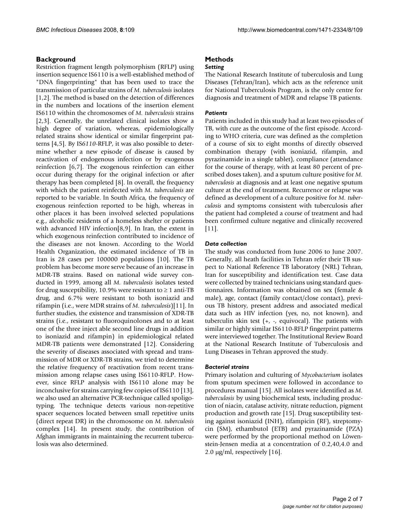#### **Background**

Restriction fragment length polymorphism (RFLP) using insertion sequence IS6110 is a well-established method of "DNA fingerprinting" that has been used to trace the transmission of particular strains of *M. tuberculosis* isolates [1,2]. The method is based on the detection of differences in the numbers and locations of the insertion element IS6110 within the chromosomes of *M. tuberculosis* strains [2,3]. Generally, the unrelated clinical isolates show a high degree of variation, whereas, epidemiologically related strains show identical or similar fingerprint patterns [4,5]. By IS*6110*-RFLP, it was also possible to determine whether a new episode of disease is caused by reactivation of endogenous infection or by exogenous reinfection [6,7]. The exogenous reinfection can either occur during therapy for the original infection or after therapy has been completed [8]. In overall, the frequency with which the patient reinfected with *M. tuberculosis* are reported to be variable. In South Africa, the frequency of exogenous reinfection reported to be high, whereas in other places it has been involved selected populations e.g., alcoholic residents of a homeless shelter or patients with advanced HIV infection[8,9]. In Iran, the extent in which exogenous reinfection contributed to incidence of the diseases are not known. According to the World Health Organization, the estimated incidence of TB in Iran is 28 cases per 100000 populations [10]. The TB problem has become more serve because of an increase in MDR-TB strains. Based on national wide survey conducted in 1999, among all *M. tuberculosis* isolates tested for drug susceptibility, 10.9% were resistant to  $\geq 1$  anti-TB drug, and 6.7% were resistant to both isoniazid and rifampin (i.e., were MDR strains of *M. tuberculosis*)[11]. In further studies, the existence and transmission of XDR-TB strains (i.e., resistant to fluoroquinolones and to at least one of the three inject able second line drugs in addition to isoniazid and rifampin) in epidemiological related MDR-TB patients were demonstrated [12]. Considering the severity of diseases associated with spread and transmission of MDR or XDR-TB strains, we tried to determine the relative frequency of reactivation from recent transmission among relapse cases using IS6110-RFLP. However, since RFLP analysis with IS6110 alone may be inconclusive for strains carrying few copies of IS6110 [13], we also used an alternative PCR-technique called spoligotyping. The technique detects various non-repetitive spacer sequences located between small repetitive units (direct repeat DR) in the chromosome on *M. tuberculosis* complex [14]. In present study, the contribution of Afghan immigrants in maintaining the recurrent tuberculosis was also determined.

## **Methods**

#### *Setting*

The National Research Institute of tuberculosis and Lung Diseases (Tehran/Iran), which acts as the reference unit for National Tuberculosis Program, is the only centre for diagnosis and treatment of MDR and relapse TB patients.

### *Patients*

Patients included in this study had at least two episodes of TB, with cure as the outcome of the first episode. According to WHO criteria, cure was defined as the completion of a course of six to eight months of directly observed combination therapy (with isoniazid, rifampin, and pyrazinamide in a single tablet), compliance (attendance for the course of therapy, with at least 80 percent of prescribed doses taken), and a sputum culture positive for *M. tuberculosis* at diagnosis and at least one negative sputum culture at the end of treatment. Recurrence or relapse was defined as development of a culture positive for *M. tuberculosis* and symptoms consistent with tuberculosis after the patient had completed a course of treatment and had been confirmed culture negative and clinically recovered [11].

#### *Data collection*

The study was conducted from June 2006 to June 2007. Generally, all heath facilities in Tehran refer their TB suspect to National Reference TB laboratory (NRL) Tehran, Iran for susceptibility and identification test. Case data were collected by trained technicians using standard questionnaires. Information was obtained on sex (female & male), age, contact (family contact/close contact), previous TB history, present address and associated medical data such as HIV infection (yes, no, not known), and tuberculin skin test  $(+, -,$  equivocal). The patients with similar or highly similar IS6110-RFLP fingerprint patterns were interviewed together. The Institutional Review Board at the National Research Institute of Tuberculosis and Lung Diseases in Tehran approved the study.

#### *Bacterial strains*

Primary isolation and culturing of *Mycobacterium* isolates from sputum specimen were followed in accordance to procedures manual [15]. All isolates were identified as *M. tuberculosis* by using biochemical tests, including production of niacin, catalase activity, nitrate reduction, pigment production and growth rate [15]. Drug susceptibility testing against isoniazid (INH), rifampicin (RF), streptomycin (SM), ethambutol (ETB) and pyrazinamide (PZA) were performed by the proportional method on Löwenstein-Jensen media at a concentration of 0.2,40,4.0 and 2.0 μg/ml, respectively [16].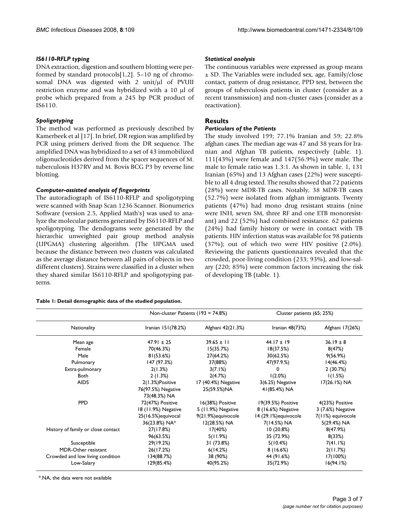## *IS6110-RFLP typing*

DNA extraction, digestion and southern blotting were performed by standard protocols[1,2]. 5–10 ng of chromosomal DNA was digested with 2 unit/μl of PVUII restriction enzyme and was hybridized with a 10 μl of probe which prepared from a 245 bp PCR product of IS6110.

## *Spoligotyping*

The method was performed as previously described by Kamerbeek et al [17]. In brief, DR region was amplified by PCR using primers derived from the DR sequence. The amplified DNA was hybridized to a set of 43 immobilized oligonucleotides derived from the spacer sequences of M. tuberculosis H37RV and M. Bovis BCG P3 by reverse line blotting.

## *Computer-assisted analysis of fingerprints*

The autoradiograph of IS6110-RFLP and spoligotyping were scanned with Snap Scan 1236 Scanner. Bionumerics Software (version 2.5, Applied Math's) was used to analyze the molecular patterns generated by IS6110-RFLP and spoligotyping. The dendograms were generated by the hierarchic unweighted pair group method analysis (UPGMA) clustering algorithm. (The UPGMA used because the distance between two clusters was calculated as the average distance between all pairs of objects in two different clusters). Strains were classified in a cluster when they shared similar IS6110-RFLP and spoligotyping patterns.

#### **Table 1: Detail demographic data of the studied population.**

## *Statistical analysis*

The continuous variables were expressed as group means ± SD. The Variables were included sex, age, Family/close contact, pattern of drug resistance, PPD test, between the groups of tuberculosis patients in cluster (consider as a recent transmission) and non-cluster cases (consider as a reactivation).

## **Results**

## *Particulars of the Patients*

The study involved 199; 77.1% Iranian and 59; 22.8% afghan cases. The median age was 47 and 38 years for Iranian and Afghan TB patients, respectively (table. 1). 111(43%) were female and 147(56.9%) were male. The male to female ratio was 1.3:1. As shown in table. 1, 131 Iranian (65%) and 13 Afghan cases (22%) were susceptible to all 4 drug tested. The results showed that 72 patients (28%) were MDR-TB cases. Notably, 38 MDR-TB cases (52.7%) were isolated from afghan immigrants. Twenty patients (47%) had mono drug resistant strains (nine were INH, seven SM, three RF and one ETB monoresistant) and 22 (52%) had combined resistance. 62 patients (24%) had family history or were in contact with TB patients. HIV infection status was available for 98 patients (37%); out of which two were HIV positive (2.0%). Reviewing the patients questionnaires revealed that the crowded, poor-living condition (233; 93%), and low-salary (220; 85%) were common factors increasing the risk of developing TB (table. 1).

|                                    | Non-cluster Patients $(193 = 74.8%)$ |                     | Cluster patients (65; 25%) |                   |  |
|------------------------------------|--------------------------------------|---------------------|----------------------------|-------------------|--|
| Nationality                        | Iranian 151(78.2%)                   | Afghani 42(21.3%)   | Iranian $48(73%)$          | Afghani 17(26%)   |  |
| Mean age                           | $47.91 \pm 25$                       | $39.65 \pm 11$      | $44.17 \pm 19$             | $36.19 \pm 8$     |  |
| Female                             | 70(46.3%)                            | 15(35.7%)           | 18(37.5%)                  | 8(47%)            |  |
| Male                               | 81(53.6%)                            | 27(64.2%)           | 30(62.5%)                  | 9(56.9%)          |  |
| Pulmonary                          | 147 (97.3%)                          | 37(88%)             | 47(97.9.%)                 | 14(46.4%)         |  |
| Extra-pulmonary                    | 2(1.3%)                              | 3(7.1%)             | 0                          | 2(30.7%)          |  |
| Both                               | 2(1.3%)                              | 2(4.7%)             | 1(2.0%)                    | 1(1.5%)           |  |
| <b>AIDS</b>                        | 2(1.3%)Positive                      | 17 (40.4%) Negative | 3(6.25) Negative           | 17(26.1%) NA      |  |
|                                    | 76(97.5%) Negative                   | 25(59.5%)NA         | 41(85.4%) NA               |                   |  |
|                                    | 73(48.3%) NA                         |                     |                            |                   |  |
| <b>PPD</b>                         | 72(47%) Positive                     | 16(38%) Positive    | 19(39.5%) Positive         | 4(23%) Positive   |  |
|                                    | 18 (11.9%) Negative                  | 5 (11.9%) Negative  | 8 (16.6%) Negative         | 3 (7.6%) Negative |  |
|                                    | 25(16.5%) equivocal                  | 9(21.9%) equivocole | 14 (29.1%) equivocole      | 7(11%) equivocole |  |
|                                    | 36(23.8%) NA*                        | 12(28.5%) NA        | 7(14.5%) NA                | 5(29.4%) NA       |  |
| History of family or close contact | 27(17.8%)                            | 17(40%)             | 10(20.8%)                  | 8(47.9%)          |  |
|                                    | 96(63.5%)                            | 5(11.9%)            | 35 (72.9%)                 | 8(33%)            |  |
| Susceptible                        | 29(19.2%)                            | 31 (73.8%)          | 5(10.4%)                   | 7(41.1%)          |  |
| MDR-Other resistant                | 26(17.2%)                            | 6(14.2%)            | 8(16.6%)                   | 2(11.7%)          |  |
| Crowded and low living condition   | 134(88.7%)                           | 38 (90%)            | 44 (91.6%)                 | 17(100%)          |  |
| Low-Salary                         | 129(85.4%)                           | 40(95.2%)           | 35(72.9%)                  | 16(94.1%)         |  |

\*.NA, the data were not available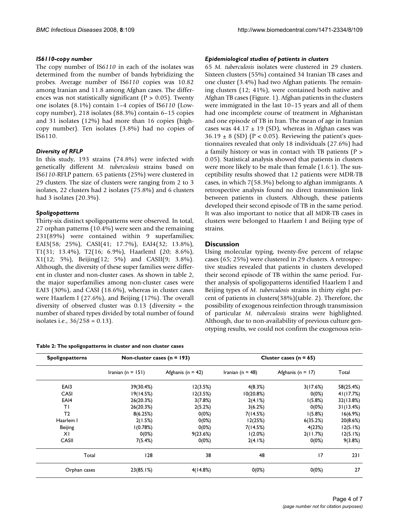## *IS6110-copy number*

The copy number of IS*6110* in each of the isolates was determined from the number of bands hybridizing the probes. Average number of IS*6110* copies was 10.82 among Iranian and 11.8 among Afghan cases. The differences was not statistically significant ( $P > 0.05$ ). Twenty one isolates (8.1%) contain 1–4 copies of IS*6110* (Lowcopy number), 218 isolates (88.3%) contain 6–15 copies and 31 isolates (12%) had more than 16 copies (highcopy number). Ten isolates (3.8%) had no copies of IS6110.

## *Diversity of RFLP*

In this study, 193 strains (74.8%) were infected with genetically different *M. tuberculosis* strains based on IS*6110*-RFLP pattern. 65 patients (25%) were clustered in 29 clusters. The size of clusters were ranging from 2 to 3 isolates, 22 clusters had 2 isolates (75.8%) and 6 clusters had 3 isolates (20.3%).

## *Spoligopatterns*

Thirty-six distinct spoligopatterns were observed. In total, 27 orphan patterns (10.4%) were seen and the remaining 231(89%) were contained within 9 superfamilies; EAI3(58; 25%), CASI(41; 17.7%), EAI4(32; 13.8%), T1(31; 13.4%), T2(16; 6.9%), HaarlemI (20; 8.6%), X1(12; 5%), Beijing(12; 5%) and CASII(9; 3.8%). Although, the diversity of these super families were different in cluster and non-cluster cases. As shown in table 2, the major superfamilies among non-cluster cases were EAI3 (30%), and CASI (18.6%), whereas in cluster cases were Haarlem I (27.6%), and Beijing (17%). The overall diversity of observed cluster was 0.13 (diversity = the number of shared types divided by total number of found isolates i.e., 36/258 = 0.13).

|  | Table 2: The spoligopatterns in cluster and non cluster cases |  |  |  |
|--|---------------------------------------------------------------|--|--|--|
|  |                                                               |  |  |  |

## *Epidemiological studies of patients in clusters*

65 *M. tuberculosis* isolates were clustered in 29 clusters. Sixteen clusters (55%) contained 34 Iranian TB cases and one cluster (3.4%) had two Afghan patients. The remaining clusters (12; 41%), were contained both native and Afghan TB cases (Figure. 1). Afghan patients in the clusters were immigrated in the last 10–15 years and all of them had one incomplete course of treatment in Afghanistan and one episode of TB in Iran. The mean of age in Iranian cases was  $44.17 \pm 19$  (SD), whereas in Afghan cases was  $36.19 \pm 8$  (SD) (P < 0.05). Reviewing the patient's questionnaires revealed that only 18 individuals (27.6%) had a family history or was in contact with TB patients (P > 0.05). Statistical analysis showed that patients in clusters were more likely to be male than female (1.6:1). The susceptibility results showed that 12 patients were MDR-TB cases, in which 7(58.3%) belong to afghan immigrants. A retrospective analysis found no direct transmission link between patients in clusters. Although, these patients developed their second episode of TB in the same period. It was also important to notice that all MDR-TB cases in clusters were belonged to Haarlem I and Beijing type of strains.

## **Discussion**

Using molecular typing, twenty-five percent of relapse cases (65; 25%) were clustered in 29 clusters. A retrospective studies revealed that patients in clusters developed their second episode of TB within the same period. Further analysis of spoligopatterns identified Haarlem I and Beijing types of *M. tuberculosis* strains in thirty eight percent of patients in clusters(38%)(table. 2). Therefore, the possibility of exogenous reinfection through transmission of particular *M. tuberculosis* strains were highlighted. Although, due to non-availability of previous culture genotyping results, we could not confirm the exogenous rein-

| Iranian (n = $151$ )<br>39(30.4%) | Afghanis ( $n = 42$ ) | Iranian ( $n = 48$ ) | Afghanis ( $n = 17$ ) | Total     |
|-----------------------------------|-----------------------|----------------------|-----------------------|-----------|
|                                   |                       |                      |                       |           |
|                                   | 12(3.5%)              | 4(8.3%)              | 3(17.6%)              | 58(25.4%) |
| 19(14.5%)                         | 12(3.5%)              | 10(20.8%)            | $0(0\%)$              | 41(17.7%) |
| 26(20.3%)                         | 3(7.8%)               | 2(4.1%)              | 1(5.8%)               | 32(13.8%) |
| 26(20.3%)                         | 2(5.2%)               | 3(6.2%)              | $0(0\%)$              | 31(13.4%) |
| 8(6.25%)                          | $0(0\%)$              | 7(14.5%)             | 1(5.8%)               | 16(6.9%)  |
| 2(1.5%)                           | $0(0\%)$              | 12(25%)              | 6(35.2%)              | 20(8.6%)  |
| 1(0.78%)                          | $0(0\%)$              | 7(14.5%)             | 4(23%)                | 12(5.1%)  |
| $0(0\%)$                          | 9(23.6%)              | 1(2.0%)              | 2(11.7%)              | 12(5.1%)  |
| 7(5.4%)                           | $0(0\%)$              | 2(4.1%)              | $0(0\%)$              | 9(3.8%)   |
| 128                               | 38                    | 48                   | 17                    | 231       |
| 23(85.1%)                         | 4(14.8%)              | $0(0\%)$             | $0(0\%)$              | 27        |
|                                   |                       |                      |                       |           |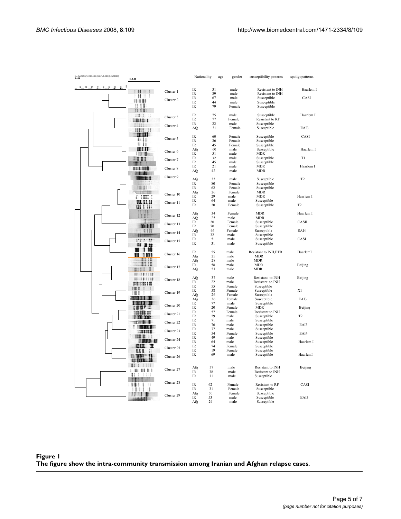| e (Opt 1.00%) (Tol 5.0% 6.0%) (H>2.0% \$>2.0%) (0.0%-100.0%)<br><b>R.A.86</b><br>R.A.86 |                              | Nationality                                                            | age      | gender           | susceptibility patterns         | spoligopatterns |
|-----------------------------------------------------------------------------------------|------------------------------|------------------------------------------------------------------------|----------|------------------|---------------------------------|-----------------|
| æ.                                                                                      |                              |                                                                        |          |                  |                                 |                 |
|                                                                                         | Cluster 1                    | IR                                                                     | 31       | male             | Resistant to INH                | Haarlem I       |
| н<br>-11.                                                                               |                              | $_{\text{IR}}$                                                         | 39       | male             | Resistant to INH                |                 |
| ****                                                                                    | Cluster 2                    | $_{\rm IR}$                                                            | 67       | male             | Susceptible                     | CASI            |
|                                                                                         |                              | $_{\text{IR}}$                                                         | 44       | male             | Susceptible                     |                 |
| 11 V II                                                                                 |                              | $_{\rm IR}$                                                            | 79       | Female           | Susceptible                     |                 |
| 7 F V V V                                                                               |                              |                                                                        |          |                  |                                 |                 |
| HII II                                                                                  | Ш<br>Cluster 3               | $_{\text{IR}}$                                                         | 75       | male             | Susceptible                     | Haarlem I       |
| <b>1465 B</b>                                                                           |                              | $\ensuremath{\mathsf{IR}}\xspace$<br>$\ensuremath{\mathsf{IR}}\xspace$ | 77<br>22 | Female<br>male   | Resistant to RF                 |                 |
| $\frac{1}{2}$                                                                           | Cluster 4                    |                                                                        | 31       | Female           | Susceptible                     | EAI3            |
| <b>THE II</b>                                                                           |                              | Afg                                                                    |          |                  | Susceptible                     |                 |
| $\mathbf{m}$                                                                            |                              | $_{\text{IR}}$                                                         | 60       | Female           | Susceptible                     | CASI            |
| $\mathbf{0}$                                                                            | Cluster 5                    | $_{\text{IR}}$                                                         | 36       | Female           | Susceptible                     |                 |
| $\mathbf{H}$ in                                                                         |                              | $_{\text{IR}}$                                                         | 45       | Female           | Susceptible                     |                 |
| шш                                                                                      |                              | Afg                                                                    | 60       | male             | Susceptible                     | Haarlem I       |
|                                                                                         | Cluster 6                    | IR                                                                     | 51       | male             | MDR                             |                 |
| <b>HHLLL</b>                                                                            |                              | $_{\text{IR}}$                                                         | 32       | male             | Susceptible                     | T1              |
|                                                                                         | Cluster 7                    | $_{\rm IR}$                                                            | 45       | male             | Susceptible                     |                 |
| <b>THE 118</b>                                                                          | Cluster 8                    | $\ensuremath{\mathsf{IR}}\xspace$                                      | 21       | male             | <b>MDR</b>                      | Haarlem I       |
| <b>THE R. P. LEWIS</b>                                                                  |                              | Afg                                                                    | 42       | male             | <b>MDR</b>                      |                 |
|                                                                                         | Cluster 9                    |                                                                        |          |                  |                                 |                 |
|                                                                                         | 51 H                         | Afg                                                                    | 33       | male             | Susceptible                     | T <sub>2</sub>  |
|                                                                                         |                              | IR                                                                     | 80       | Female           | Susceptible                     |                 |
|                                                                                         |                              | $\ensuremath{\mathsf{IR}}\xspace$                                      | 62       | Female           | Susceptible                     |                 |
|                                                                                         | <u>HETEN </u><br>Cluster 10  | Afg                                                                    | 26       | Female           | <b>MDR</b>                      |                 |
| , , , , , , ,                                                                           |                              | IR                                                                     | 29       | male             | <b>MDR</b>                      | Haarlem I       |
| ww                                                                                      | Cluster 11                   | $_{\text{IR}}$                                                         | 64       | male             | Susceptible                     |                 |
| .                                                                                       |                              | $_{\text{IR}}$                                                         | 20       | Female           | Susceptible                     | T <sub>2</sub>  |
| н                                                                                       |                              | Afg                                                                    | 34       | Female           | <b>MDR</b>                      | Haarlem I       |
| Ш                                                                                       | Cluster 12                   | Afg                                                                    | 25       | male             | <b>MDR</b>                      |                 |
|                                                                                         |                              | IR                                                                     | 20       | Female           | Susceptible                     | CASII           |
|                                                                                         | Cluster 13<br>.              | $_{\rm IR}$                                                            | 70       | Female           | Susceptible                     |                 |
|                                                                                         | 5 H H                        | Afg                                                                    | 46       | Female           | Susceptible                     | EAI4            |
|                                                                                         | Cluster 14                   | $\ensuremath{\mathsf{IR}}\xspace$                                      | 32       | male             | Susceptible                     |                 |
| "                                                                                       |                              | $_{\rm IR}$                                                            | 51       | male             | Susceptible                     | CASI            |
|                                                                                         | $\overline{1}$<br>Cluster 15 | $_{\text{IR}}$                                                         | 31       | male             | Susceptible                     |                 |
| 88 B B                                                                                  |                              |                                                                        |          |                  |                                 |                 |
|                                                                                         | <b>1 10</b><br>Cluster 16    | $\ensuremath{\mathsf{IR}}\xspace$                                      | 55       | male             | Resistant to INH,ETB            | HaarlemI        |
|                                                                                         | וננו                         | Afg                                                                    | 25       | male             | <b>MDR</b>                      |                 |
|                                                                                         | 1312                         | Afg                                                                    | 28       | male             | <b>MDR</b>                      |                 |
|                                                                                         | ш<br>Cluster 17              | $\ensuremath{\mathsf{IR}}\xspace$                                      | 58       | male             | <b>MDR</b>                      | Beijing         |
|                                                                                         |                              | Afg                                                                    | 51       | male             | <b>MDR</b>                      |                 |
| <b>ALIBINE</b>                                                                          |                              |                                                                        |          |                  |                                 |                 |
| <b>SE 181118</b>                                                                        | Cluster 18                   | Afg                                                                    | 37       | male             | Resistant to INH                | Beijing         |
| <b>MILITERE IN</b>                                                                      |                              | IR                                                                     | 22       | male             | Resistant to INH                |                 |
| I VIII II<br>Ш                                                                          | ш                            | $\ensuremath{\mathsf{IR}}\xspace$<br>IR                                | 55<br>58 | Female<br>Female | Susceptible                     | X1              |
| <b>INEI</b>                                                                             | Cluster 19                   |                                                                        | 26       | Female           | Susceptible<br>Susceptible      |                 |
|                                                                                         |                              | Afg<br>Afg                                                             | 36       | Female           | Susceptible                     | EAI3            |
| 【 编订 ( 在 ) 图 2001 】                                                                     |                              | $_{\text{IR}}$                                                         | 77       | male             | Susceptible                     |                 |
| <b>KKKELIN</b>                                                                          | Cluster 20                   | $_{\text{IR}}$                                                         | 20       | Female           | <b>MDR</b>                      | Beijing         |
| <b>THREE ISE</b>                                                                        |                              | IR                                                                     | 57       | Female           | Resistant to INH                |                 |
| $\blacksquare$                                                                          | Cluster 21                   | $\ensuremath{\mathsf{IR}}\xspace$                                      | 29       | male             | Susceptible                     | T <sub>2</sub>  |
|                                                                                         |                              | $_{\text{IR}}$                                                         | 71       | male             | Susceptible                     |                 |
| <b>TRISTING</b><br><b>TELESCOPE SERVICE</b>                                             | Cluster 22                   | IR                                                                     | 76       | male             | Susceptible                     | EAI3            |
|                                                                                         |                              | $_{\text{IR}}$                                                         | 77       | male             | Susceptible                     |                 |
| <b>TELENTINI</b>                                                                        | Cluster 23                   | $_{\text{IR}}$                                                         | 54       | Female           | Susceptible                     | EAI4            |
|                                                                                         | Cluster 24                   | $_{\text{IR}}$                                                         | 49       | male             | Susceptible                     |                 |
|                                                                                         | <b><i><u>FRID 11</u></i></b> | IR                                                                     | 64       | male             | Susceptible                     | Haarlem I       |
| ш                                                                                       | в<br>Cluster 25              | IR                                                                     | 74       | Female           | Susceptible                     |                 |
| 88<br>п                                                                                 | $\cdot$                      | IR                                                                     | 19       | Female           | Susceptible                     |                 |
| m<br>n                                                                                  | Cluster 26                   | IR                                                                     | 69       | male             | Susceptible                     | HaarlemI        |
| <b>Killing of the U.S.</b>                                                              |                              |                                                                        |          |                  |                                 |                 |
| 1111<br>ш                                                                               |                              |                                                                        |          |                  |                                 |                 |
| .<br>п                                                                                  | Cluster 27                   | Afg<br>$\ensuremath{\mathsf{IR}}\xspace$                               | 37       | male             | Resistant to INH                | Beijing         |
| п<br>-1                                                                                 |                              | $\ensuremath{\mathsf{IR}}\xspace$                                      | 38<br>31 | male<br>male     | Resistant to INH<br>Susceptible |                 |
| ŧ                                                                                       |                              |                                                                        |          |                  |                                 |                 |
| ۱<br>J.                                                                                 | Cluster 28<br>$\mathbf{H}$   | $\ensuremath{\mathsf{IR}}\xspace$                                      | 62       | Female           | Resistant to RF                 | CASI            |
| 11                                                                                      |                              | $\ensuremath{\mathsf{IR}}\xspace$                                      | 31       | Female           | Susceptible                     |                 |
|                                                                                         |                              | Afg                                                                    | 50       | Female           | Susceptible                     |                 |
| $\mathbf{1}$                                                                            | Cluster 29                   | IR                                                                     | 53       | male             | Susceptible                     | EAI3            |
|                                                                                         |                              | Afg                                                                    | 29       | male             | Susceptible                     |                 |

## Figure 1 **The figure show the intra-community transmission among Iranian and Afghan relapse cases.**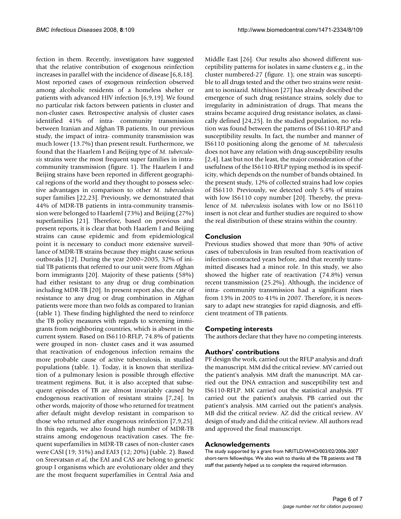fection in them. Recently, investigators have suggested that the relative contribution of exogenous reinfection increases in parallel with the incidence of disease [6,8,18]. Most reported cases of exogenous reinfection observed among alcoholic residents of a homeless shelter or patients with advanced HIV infection [6,9,19]. We found no particular risk factors between patients in cluster and non-cluster cases. Retrospective analysis of cluster cases identified 41% of intra- community transmission between Iranian and Afghan TB patients. In our previous study, the impact of intra- community transmission was much lower (13.7%) than present result. Furthermore, we found that the Haarlem I and Beijing type of *M. tuberculosis* strains were the most frequent super families in intracommunity transmission (figure. 1). The Haarlem I and Beijing strains have been reported in different geographical regions of the world and they thought to possess selective advantages in comparison to other *M. tuberculosis* super families [22,23]. Previously, we demonstrated that 44% of MDR-TB patients in intra-community transmission were belonged to HaarlemI (73%) and Beijing (27%) superfamilies [21]. Therefore, based on previous and present reports, it is clear that both Haarlem I and Beijing strains can cause epidemic and from epidemiological point it is necessary to conduct more extensive surveillance of MDR-TB strains because they might cause serious outbreaks [12]. During the year 2000–2005, 32% of initial TB patients that referred to our unit were from Afghan born immigrants [20]. Majority of these patients (58%) had either resistant to any drug or drug combination including MDR-TB [20]. In present report also, the rate of resistance to any drug or drug combination in Afghan patients were more than two folds as compared to Iranian (table 1). These finding highlighted the need to reinforce the TB policy measures with regards to screening immigrants from neighboring countries, which is absent in the current system. Based on IS6110-RFLP, 74.8% of patients were grouped in non- cluster cases and it was assumed that reactivation of endogenous infection remains the more probable cause of active tuberculosis, in studied populations (table. 1). Today, it is known that sterilization of a pulmonary lesion is possible through effective treatment regimens. But, it is also accepted that subsequent episodes of TB are almost invariably caused by endogenous reactivation of resistant strains [7,24]. In other words, majority of those who returned for treatment after default might develop resistant in comparison to those who returned after exogenous reinfection [7,9,25]. In this regards, we also found high number of MDR-TB strains among endogenous reactivation cases. The frequent superfamilies in MDR-TB cases of non-cluster cases were CASI (19; 31%) and EAI3 (12; 20%) (table. 2). Based on Sreevatsan *et al*, the EAI and CAS are belong to genetic group I organisms which are evolutionary older and they are the most frequent superfamilies in Central Asia and Middle East [26]. Our results also showed different susceptibility patterns for isolates in same clusters e.g., in the cluster numbered-27 (figure. 1); one strain was susceptible to all drugs tested and the other two strains were resistant to isoniazid. Mitchison [27] has already described the emergence of such drug resistance strains, solely due to irregularity in administration of drugs. That means the strains became acquired drug resistance isolates, as classically defined [24,25]. In the studied population, no relation was found between the patterns of IS6110-RFLP and susceptibility results. In fact, the number and manner of IS6110 positioning along the genome of *M. tuberculosis* does not have any relation with drug-susceptibility results [2,4]. Last but not the least, the major consideration of the usefulness of the IS6110-RFLP typing method is its specificity, which depends on the number of bands obtained. In the present study, 12% of collected strains had low copies of IS6110. Previously, we detected only 5.4% of strains with low IS6110 copy number [20]. Thereby, the prevalence of *M. tuberculosis* isolates with low or no IS6110 insert is not clear and further studies are required to show the real distribution of these strains within the country.

## **Conclusion**

Previous studies showed that more than 90% of active cases of tuberculosis in Iran resulted from reactivation of infection-contracted years before, and that recently transmitted diseases had a minor role. In this study, we also showed the higher rate of reactivation (74.8%) versus recent transmission (25.2%). Although, the incidence of intra- community transmission had a significant rises from 13% in 2005 to 41% in 2007. Therefore, it is necessary to adapt new strategies for rapid diagnosis, and efficient treatment of TB patients.

#### **Competing interests**

The authors declare that they have no competing interests.

#### **Authors' contributions**

PF design the work, carried out the RFLP analysis and draft the manuscript. MM did the critical review. MV carried out the patient's analysis. MM draft the manuscript. MA carried out the DNA extraction and susceptibility test and IS6110-RFLP. MK carried out the statistical analysis. PT carried out the patient's analysis. PB carried out the patient's analysis. MM carried out the patient's analysis. MB did the critical review. AZ did the critical review. AV design of study and did the critical review. All authors read and approved the final manuscript.

#### **Acknowledgements**

The study supported by a grant from NRITLD/WHO/003/02/2006-2007 short-term fellowships. We also wish to thanks all the TB patients and TB staff that patiently helped us to complete the required information.